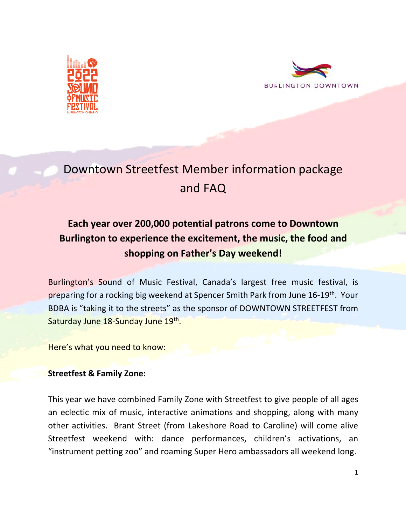



# Downtown Streetfest Member information package and FAQ

# **Each year over 200,000 potential patrons come to Downtown Burlington to experience the excitement, the music, the food and shopping on Father's Day weekend!**

Burlington's Sound of Music Festival, Canada's largest free music festival, is preparing for a rocking big weekend at Spencer Smith Park from June 16-19<sup>th</sup>. Your BDBA is "taking it to the streets" as the sponsor of DOWNTOWN STREETFEST from Saturday June 18-Sunday June 19th.

Here's what you need to know:

### **Streetfest & Family Zone:**

This year we have combined Family Zone with Streetfest to give people of all ages an eclectic mix of music, interactive animations and shopping, along with many other activities. Brant Street (from Lakeshore Road to Caroline) will come alive Streetfest weekend with: dance performances, children's activations, an "instrument petting zoo" and roaming Super Hero ambassadors all weekend long.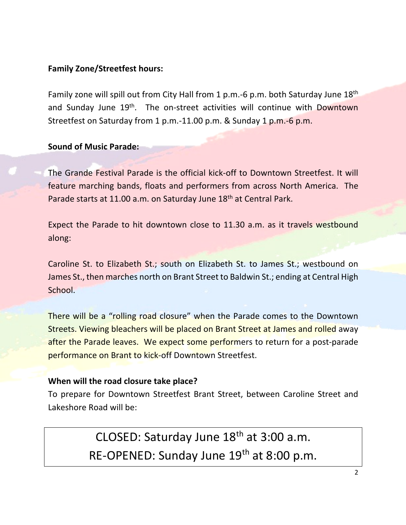### **Family Zone/Streetfest hours:**

Family zone will spill out from City Hall from 1 p.m.-6 p.m. both Saturday June 18<sup>th</sup> and Sunday June 19<sup>th</sup>. The on-street activities will continue with Downtown Streetfest on Saturday from 1 p.m.-11.00 p.m. & Sunday 1 p.m.-6 p.m.

**Sound of Music Parade:**

The Grande Festival Parade is the official kick-off to Downtown Streetfest. It will feature marching bands, floats and performers from across North America. The Parade starts at 11.00 a.m. on Saturday June 18<sup>th</sup> at Central Park.

Expect the Parade to hit downtown close to 11.30 a.m. as it travels westbound along:

Caroline St. to Elizabeth St.; south on Elizabeth St. to James St.; westbound on James St., then marches north on Brant Street to Baldwin St.; ending at Central High School.

There will be a "rolling road closure" when the Parade comes to the Downtown Streets. Viewing bleachers will be placed on Brant Street at James and rolled away after the Parade leaves. We expect some performers to return for a post-parade performance on Brant to kick-off Downtown Streetfest.

### **When will the road closure take place?**

To prepare for Downtown Streetfest Brant Street, between Caroline Street and Lakeshore Road will be:

> CLOSED: Saturday June 18<sup>th</sup> at 3:00 a.m. RE-OPENED: Sunday June 19<sup>th</sup> at 8:00 p.m.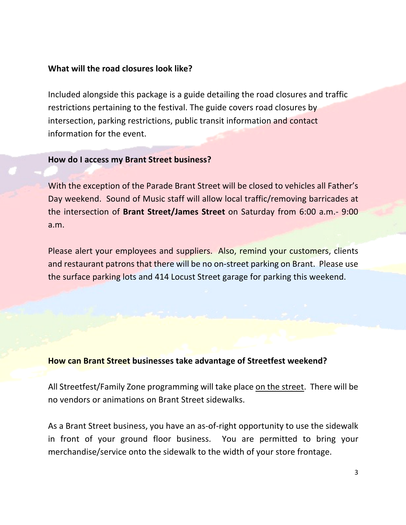### **What will the road closures look like?**

Included alongside this package is a guide detailing the road closures and traffic restrictions pertaining to the festival. The guide covers road closures by intersection, parking restrictions, public transit information and contact information for the event.

#### **How do I access my Brant Street business?**

With the exception of the Parade Brant Street will be closed to vehicles all Father's Day weekend. Sound of Music staff will allow local traffic/removing barricades at the intersection of **Brant Street/James Street** on Saturday from 6:00 a.m.- 9:00 a.m.

Please alert your employees and suppliers. Also, remind your customers, clients and restaurant patrons that there will be no on-street parking on Brant. Please use the surface parking lots and 414 Locust Street garage for parking this weekend.

#### **How can Brant Street businesses take advantage of Streetfest weekend?**

All Streetfest/Family Zone programming will take place on the street. There will be no vendors or animations on Brant Street sidewalks.

As a Brant Street business, you have an as-of-right opportunity to use the sidewalk in front of your ground floor business. You are permitted to bring your merchandise/service onto the sidewalk to the width of your store frontage.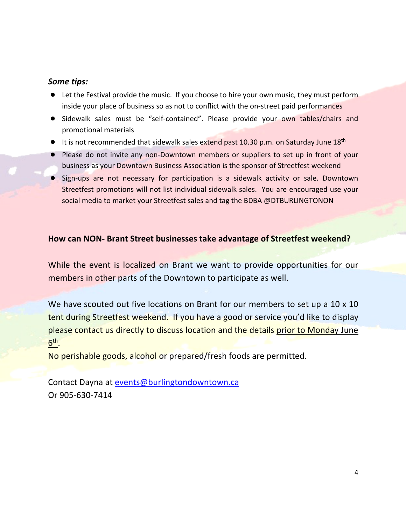### *Some tips:*

- Let the Festival provide the music. If you choose to hire your own music, they must perform inside your place of business so as not to conflict with the on-street paid performances
- Sidewalk sales must be "self-contained". Please provide your own tables/chairs and promotional materials
- It is not recommended that sidewalk sales extend past 10.30 p.m. on Saturday June 18<sup>th</sup>
- Please do not invite any non-Downtown members or suppliers to set up in front of your business as your Downtown Business Association is the sponsor of Streetfest weekend
- Sign-ups are not necessary for participation is a sidewalk activity or sale. Downtown Streetfest promotions will not list individual sidewalk sales. You are encouraged use your social media to market your Streetfest sales and tag the BDBA @DTBURLINGTONON

### **How can NON- Brant Street businesses take advantage of Streetfest weekend?**

While the event is localized on Brant we want to provide opportunities for our members in other parts of the Downtown to participate as well.

We have scouted out five locations on Brant for our members to set up a 10 x 10 tent during Streetfest weekend. If you have a good or service you'd like to display please contact us directly to discuss location and the details prior to Monday June 6th.

No perishable goods, alcohol or prepared/fresh foods are permitted.

Contact Dayna at events@burlingtondowntown.ca Or 905-630-7414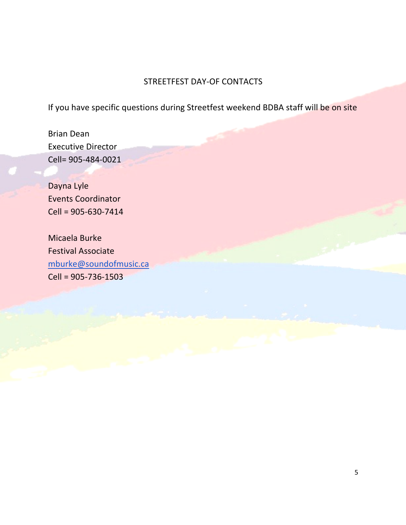# STREETFEST DAY-OF CONTACTS

If you have specific questions during Streetfest weekend BDBA staff will be on site

Brian Dean Executive Director Cell= 905-484-0021

Dayna Lyle Events Coordinator Cell = 905-630-7414

Micaela Burke Festival Associate mburke@soundofmusic.ca Cell = 905-736-1503